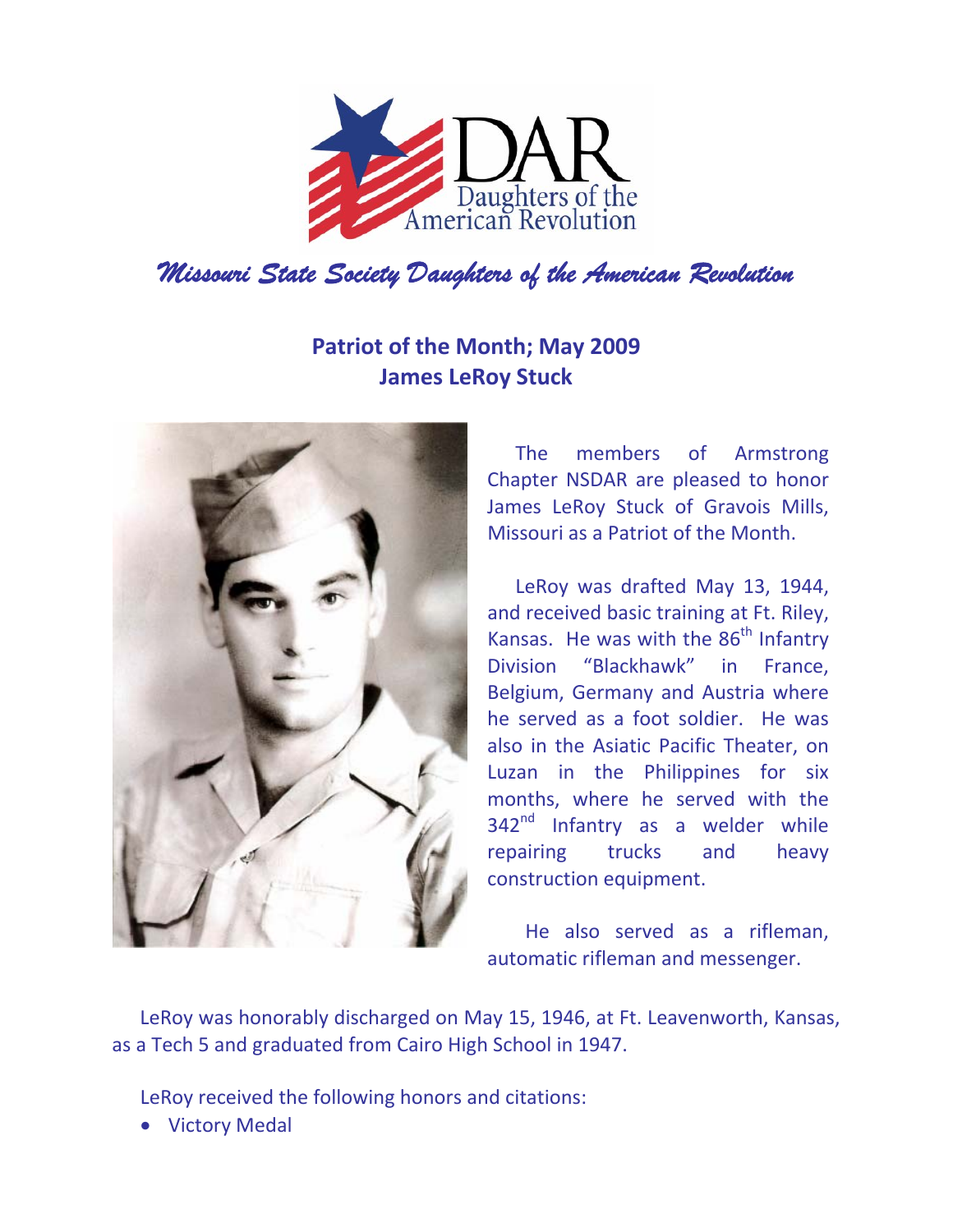

## **Patriot of the Month; May 2009 James LeRoy Stuck**



The members of Armstrong Chapter NSDAR are pleased to honor James LeRoy Stuck of Gravois Mills, Missouri as a Patriot of the Month.

LeRoy was drafted May 13, 1944, and received basic training at Ft. Riley, Kansas. He was with the  $86<sup>th</sup>$  Infantry Division "Blackhawk" in France, Belgium, Germany and Austria where he served as a foot soldier. He was also in the Asiatic Pacific Theater, on Luzan in the Philippines for six months, where he served with the 342<sup>nd</sup> Infantry as a welder while repairing trucks and heavy construction equipment.

 He also served as a rifleman, automatic rifleman and messenger.

LeRoy was honorably discharged on May 15, 1946, at Ft. Leavenworth, Kansas, as a Tech 5 and graduated from Cairo High School in 1947.

LeRoy received the following honors and citations:

• Victory Medal